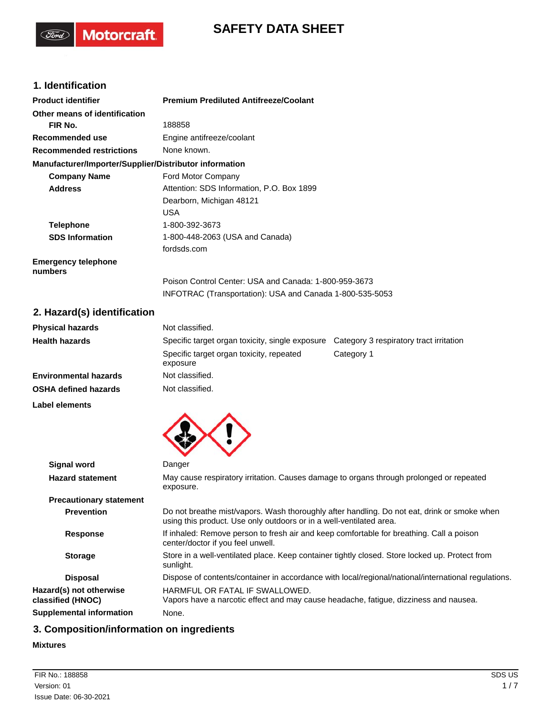# **SAFETY DATA SHEET**

## **1. Identification**

(Ford)

**Motorcraft** 

| <b>Product identifier</b>                              | <b>Premium Prediluted Antifreeze/Coolant</b>             |
|--------------------------------------------------------|----------------------------------------------------------|
| Other means of identification                          |                                                          |
| FIR No.                                                | 188858                                                   |
| Recommended use                                        | Engine antifreeze/coolant                                |
| <b>Recommended restrictions</b>                        | None known.                                              |
| Manufacturer/Importer/Supplier/Distributor information |                                                          |
| <b>Company Name</b>                                    | Ford Motor Company                                       |
| <b>Address</b>                                         | Attention: SDS Information, P.O. Box 1899                |
|                                                        | Dearborn, Michigan 48121                                 |
|                                                        | <b>USA</b>                                               |
| <b>Telephone</b>                                       | 1-800-392-3673                                           |
| <b>SDS Information</b>                                 | 1-800-448-2063 (USA and Canada)                          |
|                                                        | fordsds.com                                              |
| <b>Emergency telephone</b><br>numbers                  |                                                          |
|                                                        | Poison Control Center: USA and Canada: 1-800-959-3673    |
|                                                        | INFOTRAC (Transportation): USA and Canada 1-800-535-5053 |
| 2. Hazard(s) identification                            |                                                          |

## **2. Hazard(s) identification**

| <b>Physical hazards</b>      | Not classified.                                                                            |            |  |  |
|------------------------------|--------------------------------------------------------------------------------------------|------------|--|--|
| <b>Health hazards</b>        | Specific target organ toxicity, single exposure<br>Category 3 respiratory tract irritation |            |  |  |
|                              | Specific target organ toxicity, repeated<br>exposure                                       | Category 1 |  |  |
| <b>Environmental hazards</b> | Not classified.                                                                            |            |  |  |
| <b>OSHA defined hazards</b>  | Not classified.                                                                            |            |  |  |

**Label elements**



| Signal word                                  | Danger                                                                                                                                                             |
|----------------------------------------------|--------------------------------------------------------------------------------------------------------------------------------------------------------------------|
| <b>Hazard statement</b>                      | May cause respiratory irritation. Causes damage to organs through prolonged or repeated<br>exposure.                                                               |
| <b>Precautionary statement</b>               |                                                                                                                                                                    |
| <b>Prevention</b>                            | Do not breathe mist/vapors. Wash thoroughly after handling. Do not eat, drink or smoke when<br>using this product. Use only outdoors or in a well-ventilated area. |
| <b>Response</b>                              | If inhaled: Remove person to fresh air and keep comfortable for breathing. Call a poison<br>center/doctor if you feel unwell.                                      |
| <b>Storage</b>                               | Store in a well-ventilated place. Keep container tightly closed. Store locked up. Protect from<br>sunlight.                                                        |
| <b>Disposal</b>                              | Dispose of contents/container in accordance with local/regional/national/international regulations.                                                                |
| Hazard(s) not otherwise<br>classified (HNOC) | HARMEUL OR FATAL IF SWALLOWED.<br>Vapors have a narcotic effect and may cause headache, fatigue, dizziness and nausea.                                             |
| <b>Supplemental information</b>              | None.                                                                                                                                                              |

## **3. Composition/information on ingredients**

### **Mixtures**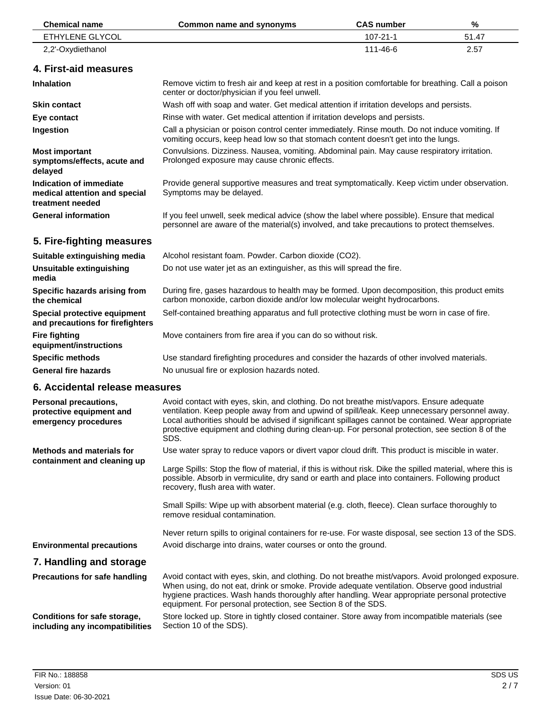| <b>Chemical name</b>                                                         | <b>Common name and synonyms</b>                                                                                                                                                                                                                                                                                                                                                                             | <b>CAS number</b> | %     |  |
|------------------------------------------------------------------------------|-------------------------------------------------------------------------------------------------------------------------------------------------------------------------------------------------------------------------------------------------------------------------------------------------------------------------------------------------------------------------------------------------------------|-------------------|-------|--|
| ETHYLENE GLYCOL                                                              |                                                                                                                                                                                                                                                                                                                                                                                                             | 107-21-1          | 51.47 |  |
| 2,2'-Oxydiethanol                                                            |                                                                                                                                                                                                                                                                                                                                                                                                             | 111-46-6          | 2.57  |  |
| 4. First-aid measures                                                        |                                                                                                                                                                                                                                                                                                                                                                                                             |                   |       |  |
| Inhalation                                                                   | Remove victim to fresh air and keep at rest in a position comfortable for breathing. Call a poison<br>center or doctor/physician if you feel unwell.                                                                                                                                                                                                                                                        |                   |       |  |
| <b>Skin contact</b>                                                          | Wash off with soap and water. Get medical attention if irritation develops and persists.                                                                                                                                                                                                                                                                                                                    |                   |       |  |
| Eye contact                                                                  | Rinse with water. Get medical attention if irritation develops and persists.                                                                                                                                                                                                                                                                                                                                |                   |       |  |
| Ingestion                                                                    | Call a physician or poison control center immediately. Rinse mouth. Do not induce vomiting. If<br>vomiting occurs, keep head low so that stomach content doesn't get into the lungs.                                                                                                                                                                                                                        |                   |       |  |
| <b>Most important</b><br>symptoms/effects, acute and<br>delayed              | Convulsions. Dizziness. Nausea, vomiting. Abdominal pain. May cause respiratory irritation.<br>Prolonged exposure may cause chronic effects.                                                                                                                                                                                                                                                                |                   |       |  |
| Indication of immediate<br>medical attention and special<br>treatment needed | Provide general supportive measures and treat symptomatically. Keep victim under observation.<br>Symptoms may be delayed.                                                                                                                                                                                                                                                                                   |                   |       |  |
| <b>General information</b>                                                   | If you feel unwell, seek medical advice (show the label where possible). Ensure that medical<br>personnel are aware of the material(s) involved, and take precautions to protect themselves.                                                                                                                                                                                                                |                   |       |  |
| 5. Fire-fighting measures                                                    |                                                                                                                                                                                                                                                                                                                                                                                                             |                   |       |  |
| Suitable extinguishing media                                                 | Alcohol resistant foam. Powder. Carbon dioxide (CO2).                                                                                                                                                                                                                                                                                                                                                       |                   |       |  |
| Unsuitable extinguishing<br>media                                            | Do not use water jet as an extinguisher, as this will spread the fire.                                                                                                                                                                                                                                                                                                                                      |                   |       |  |
| Specific hazards arising from<br>the chemical                                | During fire, gases hazardous to health may be formed. Upon decomposition, this product emits<br>carbon monoxide, carbon dioxide and/or low molecular weight hydrocarbons.                                                                                                                                                                                                                                   |                   |       |  |
| Special protective equipment<br>and precautions for firefighters             | Self-contained breathing apparatus and full protective clothing must be worn in case of fire.                                                                                                                                                                                                                                                                                                               |                   |       |  |
| <b>Fire fighting</b><br>equipment/instructions                               | Move containers from fire area if you can do so without risk.                                                                                                                                                                                                                                                                                                                                               |                   |       |  |
| <b>Specific methods</b>                                                      | Use standard firefighting procedures and consider the hazards of other involved materials.                                                                                                                                                                                                                                                                                                                  |                   |       |  |
| <b>General fire hazards</b>                                                  | No unusual fire or explosion hazards noted.                                                                                                                                                                                                                                                                                                                                                                 |                   |       |  |
| 6. Accidental release measures                                               |                                                                                                                                                                                                                                                                                                                                                                                                             |                   |       |  |
| Personal precautions,<br>protective equipment and<br>emergency procedures    | Avoid contact with eyes, skin, and clothing. Do not breathe mist/vapors. Ensure adequate<br>ventilation. Keep people away from and upwind of spill/leak. Keep unnecessary personnel away.<br>Local authorities should be advised if significant spillages cannot be contained. Wear appropriate<br>protective equipment and clothing during clean-up. For personal protection, see section 8 of the<br>SDS. |                   |       |  |
| <b>Methods and materials for</b>                                             | Use water spray to reduce vapors or divert vapor cloud drift. This product is miscible in water.                                                                                                                                                                                                                                                                                                            |                   |       |  |
| containment and cleaning up                                                  | Large Spills: Stop the flow of material, if this is without risk. Dike the spilled material, where this is<br>possible. Absorb in vermiculite, dry sand or earth and place into containers. Following product<br>recovery, flush area with water.                                                                                                                                                           |                   |       |  |
|                                                                              | Small Spills: Wipe up with absorbent material (e.g. cloth, fleece). Clean surface thoroughly to<br>remove residual contamination.                                                                                                                                                                                                                                                                           |                   |       |  |
|                                                                              | Never return spills to original containers for re-use. For waste disposal, see section 13 of the SDS.                                                                                                                                                                                                                                                                                                       |                   |       |  |
| <b>Environmental precautions</b>                                             | Avoid discharge into drains, water courses or onto the ground.                                                                                                                                                                                                                                                                                                                                              |                   |       |  |
| 7. Handling and storage                                                      |                                                                                                                                                                                                                                                                                                                                                                                                             |                   |       |  |
| <b>Precautions for safe handling</b>                                         | Avoid contact with eyes, skin, and clothing. Do not breathe mist/vapors. Avoid prolonged exposure.<br>When using, do not eat, drink or smoke. Provide adequate ventilation. Observe good industrial<br>hygiene practices. Wash hands thoroughly after handling. Wear appropriate personal protective<br>equipment. For personal protection, see Section 8 of the SDS.                                       |                   |       |  |
| Conditions for safe storage,<br>including any incompatibilities              | Store locked up. Store in tightly closed container. Store away from incompatible materials (see<br>Section 10 of the SDS).                                                                                                                                                                                                                                                                                  |                   |       |  |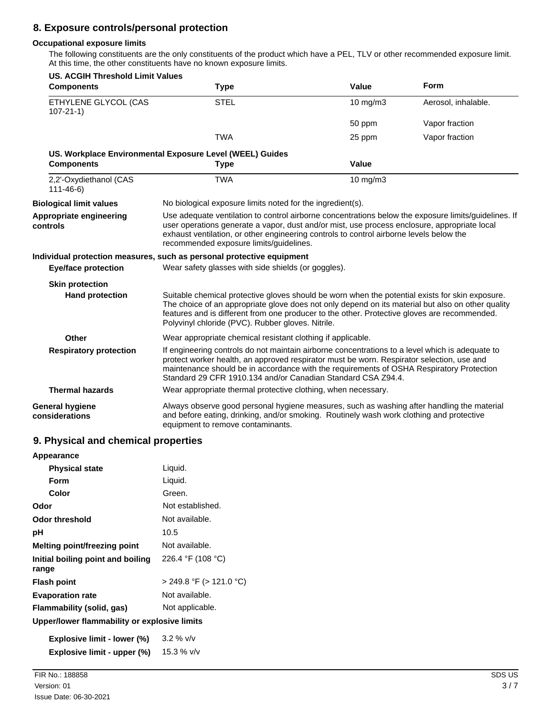### **8. Exposure controls/personal protection**

#### **Occupational exposure limits**

The following constituents are the only constituents of the product which have a PEL, TLV or other recommended exposure limit. At this time, the other constituents have no known exposure limits.

| <b>US. ACGIH Threshold Limit Values</b><br><b>Components</b> | <b>Type</b>                                                                                                                                                                                                                                                                                                                                               | Value    | Form                |
|--------------------------------------------------------------|-----------------------------------------------------------------------------------------------------------------------------------------------------------------------------------------------------------------------------------------------------------------------------------------------------------------------------------------------------------|----------|---------------------|
| ETHYLENE GLYCOL (CAS<br>$107 - 21 - 1$                       | <b>STEL</b>                                                                                                                                                                                                                                                                                                                                               | 10 mg/m3 | Aerosol, inhalable. |
|                                                              |                                                                                                                                                                                                                                                                                                                                                           | 50 ppm   | Vapor fraction      |
|                                                              | <b>TWA</b>                                                                                                                                                                                                                                                                                                                                                | 25 ppm   | Vapor fraction      |
| <b>Components</b>                                            | US. Workplace Environmental Exposure Level (WEEL) Guides<br><b>Type</b>                                                                                                                                                                                                                                                                                   | Value    |                     |
| 2,2'-Oxydiethanol (CAS<br>$111 - 46 - 6$                     | <b>TWA</b>                                                                                                                                                                                                                                                                                                                                                | 10 mg/m3 |                     |
| <b>Biological limit values</b>                               | No biological exposure limits noted for the ingredient(s).                                                                                                                                                                                                                                                                                                |          |                     |
| Appropriate engineering<br>controls                          | Use adequate ventilation to control airborne concentrations below the exposure limits/quidelines. If<br>user operations generate a vapor, dust and/or mist, use process enclosure, appropriate local<br>exhaust ventilation, or other engineering controls to control airborne levels below the<br>recommended exposure limits/guidelines.                |          |                     |
|                                                              | Individual protection measures, such as personal protective equipment                                                                                                                                                                                                                                                                                     |          |                     |
| <b>Eye/face protection</b>                                   | Wear safety glasses with side shields (or goggles).                                                                                                                                                                                                                                                                                                       |          |                     |
| <b>Skin protection</b>                                       |                                                                                                                                                                                                                                                                                                                                                           |          |                     |
| <b>Hand protection</b>                                       | Suitable chemical protective gloves should be worn when the potential exists for skin exposure.<br>The choice of an appropriate glove does not only depend on its material but also on other quality<br>features and is different from one producer to the other. Protective gloves are recommended.<br>Polyvinyl chloride (PVC). Rubber gloves. Nitrile. |          |                     |
| Other                                                        | Wear appropriate chemical resistant clothing if applicable.                                                                                                                                                                                                                                                                                               |          |                     |
| <b>Respiratory protection</b>                                | If engineering controls do not maintain airborne concentrations to a level which is adequate to<br>protect worker health, an approved respirator must be worn. Respirator selection, use and<br>maintenance should be in accordance with the requirements of OSHA Respiratory Protection<br>Standard 29 CFR 1910.134 and/or Canadian Standard CSA Z94.4.  |          |                     |
| <b>Thermal hazards</b>                                       | Wear appropriate thermal protective clothing, when necessary.                                                                                                                                                                                                                                                                                             |          |                     |
| <b>General hygiene</b><br>considerations                     | Always observe good personal hygiene measures, such as washing after handling the material<br>and before eating, drinking, and/or smoking. Routinely wash work clothing and protective<br>equipment to remove contaminants.                                                                                                                               |          |                     |

### **9. Physical and chemical properties**

| Appearance                                   |                              |
|----------------------------------------------|------------------------------|
| <b>Physical state</b>                        | Liquid.                      |
| Form                                         | Liquid.                      |
| Color                                        | Green.                       |
| Odor                                         | Not established.             |
| <b>Odor threshold</b>                        | Not available.               |
| рH                                           | 10.5                         |
| Melting point/freezing point                 | Not available.               |
| Initial boiling point and boiling<br>range   | 226.4 °F (108 °C)            |
| <b>Flash point</b>                           | $>$ 249.8 °F ( $>$ 121.0 °C) |
| <b>Evaporation rate</b>                      | Not available.               |
| Flammability (solid, gas)                    | Not applicable.              |
| Upper/lower flammability or explosive limits |                              |
| Explosive limit - lower (%)                  | $3.2 \%$ V/V                 |

**Explosive limit - upper (%)** 15.3 % v/v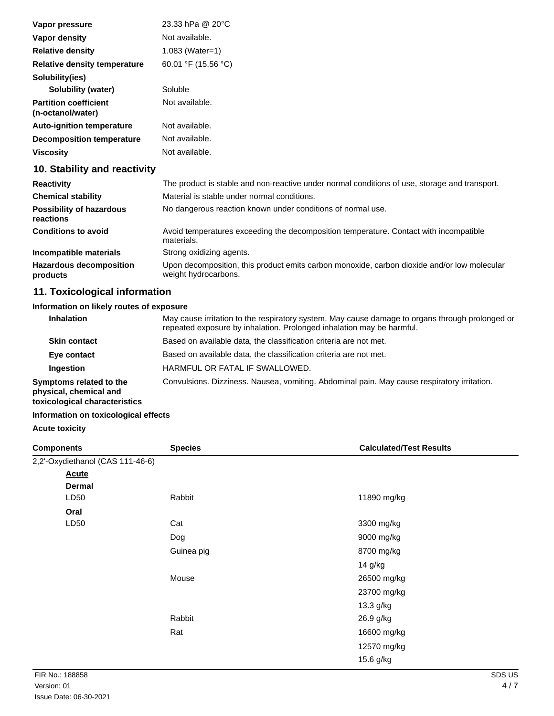| Vapor pressure                                    | 23.33 hPa @ 20°C                                                                              |
|---------------------------------------------------|-----------------------------------------------------------------------------------------------|
| Vapor density                                     | Not available.                                                                                |
| <b>Relative density</b>                           | $1.083$ (Water=1)                                                                             |
| Relative density temperature                      | 60.01 °F (15.56 °C)                                                                           |
| Solubility(ies)                                   |                                                                                               |
| Solubility (water)                                | Soluble                                                                                       |
| <b>Partition coefficient</b><br>(n-octanol/water) | Not available.                                                                                |
| <b>Auto-ignition temperature</b>                  | Not available.                                                                                |
| Decomposition temperature                         | Not available.                                                                                |
| Viscosity                                         | Not available.                                                                                |
| 10. Stability and reactivity                      |                                                                                               |
| <b>Reactivity</b>                                 | The product is stable and non-reactive under normal conditions of use, storage and transport. |
| <b>Chemical stability</b>                         | Material is stable under normal conditions.                                                   |
| <b>Possibility of hazardous</b>                   | No dangerous reaction known under conditions of normal use.                                   |

Avoid temperatures exceeding the decomposition temperature. Contact with incompatible materials. **Conditions to avoid Incompatible materials** Strong oxidizing agents. Upon decomposition, this product emits carbon monoxide, carbon dioxide and/or low molecular weight hydrocarbons. **Hazardous decomposition products**

### **11. Toxicological information**

#### **Information on likely routes of exposure**

| <b>Inhalation</b>                                                                  | May cause irritation to the respiratory system. May cause damage to organs through prolonged or<br>repeated exposure by inhalation. Prolonged inhalation may be harmful. |
|------------------------------------------------------------------------------------|--------------------------------------------------------------------------------------------------------------------------------------------------------------------------|
| <b>Skin contact</b>                                                                | Based on available data, the classification criteria are not met.                                                                                                        |
| Eye contact                                                                        | Based on available data, the classification criteria are not met.                                                                                                        |
| Ingestion                                                                          | HARMFUL OR FATAL IF SWALLOWED.                                                                                                                                           |
| Symptoms related to the<br>physical, chemical and<br>toxicological characteristics | Convulsions. Dizziness. Nausea, vomiting. Abdominal pain. May cause respiratory irritation.                                                                              |

#### **Information on toxicological effects**

#### **Acute toxicity**

**reactions**

| <b>Components</b>                | <b>Species</b> | <b>Calculated/Test Results</b> |
|----------------------------------|----------------|--------------------------------|
| 2,2'-Oxydiethanol (CAS 111-46-6) |                |                                |
| <b>Acute</b>                     |                |                                |
| <b>Dermal</b>                    |                |                                |
| LD50                             | Rabbit         | 11890 mg/kg                    |
| Oral                             |                |                                |
| LD50                             | Cat            | 3300 mg/kg                     |
|                                  | Dog            | 9000 mg/kg                     |
|                                  | Guinea pig     | 8700 mg/kg                     |
|                                  |                | 14 g/kg                        |
|                                  | Mouse          | 26500 mg/kg                    |
|                                  |                | 23700 mg/kg                    |
|                                  |                | 13.3 g/kg                      |
|                                  | Rabbit         | 26.9 g/kg                      |
|                                  | Rat            | 16600 mg/kg                    |
|                                  |                | 12570 mg/kg                    |
|                                  |                | 15.6 g/kg                      |
|                                  |                |                                |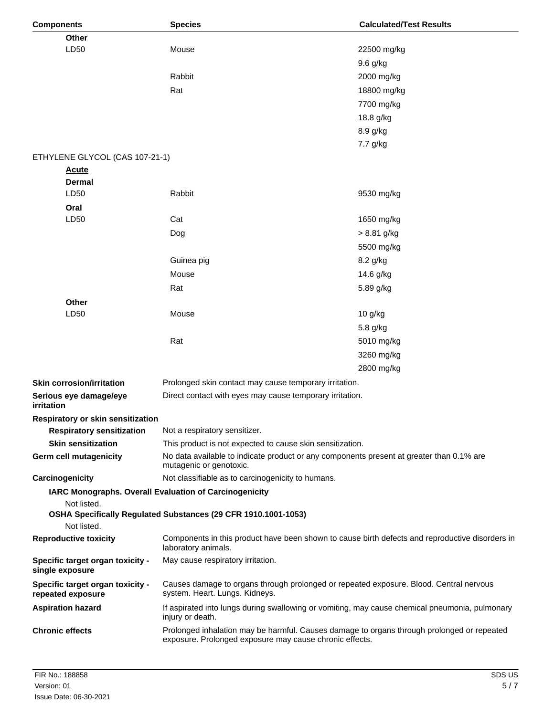| <b>Components</b>                                     | <b>Species</b>                                                                                                                                        | <b>Calculated/Test Results</b> |
|-------------------------------------------------------|-------------------------------------------------------------------------------------------------------------------------------------------------------|--------------------------------|
| Other                                                 |                                                                                                                                                       |                                |
| LD50                                                  | Mouse                                                                                                                                                 | 22500 mg/kg                    |
|                                                       |                                                                                                                                                       | 9.6 g/kg                       |
|                                                       | Rabbit                                                                                                                                                | 2000 mg/kg                     |
|                                                       | Rat                                                                                                                                                   | 18800 mg/kg                    |
|                                                       |                                                                                                                                                       | 7700 mg/kg                     |
|                                                       |                                                                                                                                                       | 18.8 g/kg                      |
|                                                       |                                                                                                                                                       | 8.9 g/kg                       |
|                                                       |                                                                                                                                                       | 7.7 g/kg                       |
| ETHYLENE GLYCOL (CAS 107-21-1)                        |                                                                                                                                                       |                                |
| <u>Acute</u>                                          |                                                                                                                                                       |                                |
| Dermal                                                |                                                                                                                                                       |                                |
| LD50                                                  | Rabbit                                                                                                                                                | 9530 mg/kg                     |
| Oral                                                  |                                                                                                                                                       |                                |
| LD50                                                  | Cat                                                                                                                                                   | 1650 mg/kg                     |
|                                                       | Dog                                                                                                                                                   | $> 8.81$ g/kg                  |
|                                                       |                                                                                                                                                       | 5500 mg/kg                     |
|                                                       | Guinea pig                                                                                                                                            | 8.2 g/kg                       |
|                                                       | Mouse                                                                                                                                                 | 14.6 g/kg                      |
|                                                       | Rat                                                                                                                                                   | 5.89 g/kg                      |
| Other                                                 |                                                                                                                                                       |                                |
| LD50                                                  | Mouse                                                                                                                                                 | 10 g/kg                        |
|                                                       |                                                                                                                                                       | 5.8 g/kg                       |
|                                                       | Rat                                                                                                                                                   | 5010 mg/kg                     |
|                                                       |                                                                                                                                                       | 3260 mg/kg                     |
|                                                       |                                                                                                                                                       | 2800 mg/kg                     |
| <b>Skin corrosion/irritation</b>                      | Prolonged skin contact may cause temporary irritation.                                                                                                |                                |
| Serious eye damage/eye<br>irritation                  | Direct contact with eyes may cause temporary irritation.                                                                                              |                                |
| Respiratory or skin sensitization                     |                                                                                                                                                       |                                |
| <b>Respiratory sensitization</b>                      | Not a respiratory sensitizer.                                                                                                                         |                                |
| <b>Skin sensitization</b>                             | This product is not expected to cause skin sensitization.                                                                                             |                                |
| Germ cell mutagenicity                                | No data available to indicate product or any components present at greater than 0.1% are<br>mutagenic or genotoxic.                                   |                                |
| Carcinogenicity                                       | Not classifiable as to carcinogenicity to humans.                                                                                                     |                                |
| Not listed.                                           | IARC Monographs. Overall Evaluation of Carcinogenicity                                                                                                |                                |
|                                                       | OSHA Specifically Regulated Substances (29 CFR 1910.1001-1053)                                                                                        |                                |
| Not listed.                                           |                                                                                                                                                       |                                |
| <b>Reproductive toxicity</b>                          | Components in this product have been shown to cause birth defects and reproductive disorders in<br>laboratory animals.                                |                                |
| Specific target organ toxicity -<br>single exposure   | May cause respiratory irritation.                                                                                                                     |                                |
| Specific target organ toxicity -<br>repeated exposure | Causes damage to organs through prolonged or repeated exposure. Blood. Central nervous<br>system. Heart. Lungs. Kidneys.                              |                                |
| <b>Aspiration hazard</b>                              | If aspirated into lungs during swallowing or vomiting, may cause chemical pneumonia, pulmonary<br>injury or death.                                    |                                |
| <b>Chronic effects</b>                                | Prolonged inhalation may be harmful. Causes damage to organs through prolonged or repeated<br>exposure. Prolonged exposure may cause chronic effects. |                                |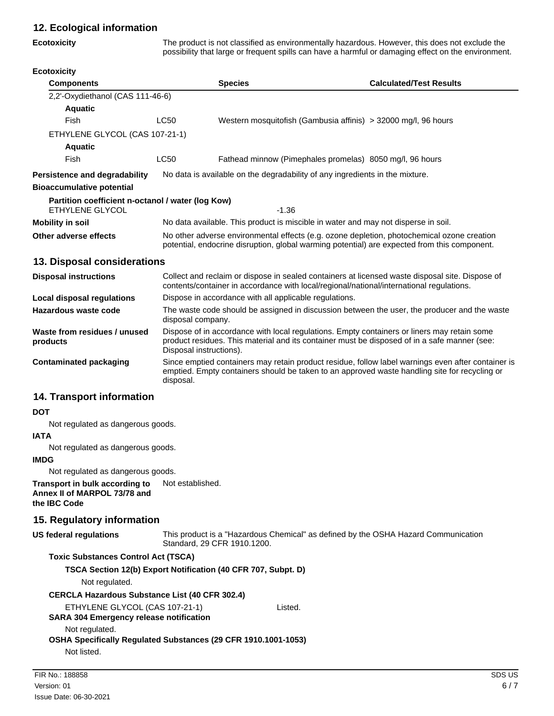### **12. Ecological information**

#### **Ecotoxicity**

The product is not classified as environmentally hazardous. However, this does not exclude the possibility that large or frequent spills can have a harmful or damaging effect on the environment.

| <b>Ecotoxicity</b> |  |  |
|--------------------|--|--|
|--------------------|--|--|

| <b>Components</b>                                                    |                                                                                                                                                                                             | <b>Species</b>                                                                               | <b>Calculated/Test Results</b> |
|----------------------------------------------------------------------|---------------------------------------------------------------------------------------------------------------------------------------------------------------------------------------------|----------------------------------------------------------------------------------------------|--------------------------------|
| 2,2'-Oxydiethanol (CAS 111-46-6)                                     |                                                                                                                                                                                             |                                                                                              |                                |
| <b>Aquatic</b>                                                       |                                                                                                                                                                                             |                                                                                              |                                |
| Fish                                                                 | <b>LC50</b>                                                                                                                                                                                 | Western mosquitofish (Gambusia affinis) > 32000 mg/l, 96 hours                               |                                |
| ETHYLENE GLYCOL (CAS 107-21-1)                                       |                                                                                                                                                                                             |                                                                                              |                                |
| <b>Aquatic</b>                                                       |                                                                                                                                                                                             |                                                                                              |                                |
| Fish                                                                 | <b>LC50</b>                                                                                                                                                                                 | Fathead minnow (Pimephales promelas) 8050 mg/l, 96 hours                                     |                                |
| <b>Persistence and degradability</b>                                 |                                                                                                                                                                                             | No data is available on the degradability of any ingredients in the mixture.                 |                                |
| <b>Bioaccumulative potential</b>                                     |                                                                                                                                                                                             |                                                                                              |                                |
| Partition coefficient n-octanol / water (log Kow)<br>ETHYLENE GLYCOL |                                                                                                                                                                                             | $-1.36$                                                                                      |                                |
| <b>Mobility in soil</b>                                              |                                                                                                                                                                                             | No data available. This product is miscible in water and may not disperse in soil.           |                                |
| Other adverse effects                                                | No other adverse environmental effects (e.g. ozone depletion, photochemical ozone creation<br>potential, endocrine disruption, global warming potential) are expected from this component.  |                                                                                              |                                |
| 13. Disposal considerations                                          |                                                                                                                                                                                             |                                                                                              |                                |
| <b>Disposal instructions</b>                                         | Collect and reclaim or dispose in sealed containers at licensed waste disposal site. Dispose of<br>contents/container in accordance with local/regional/national/international regulations. |                                                                                              |                                |
| <b>Local disposal regulations</b>                                    |                                                                                                                                                                                             | Dispose in accordance with all applicable regulations.                                       |                                |
| Hazardous waste code                                                 | disposal company.                                                                                                                                                                           | The waste code should be assigned in discussion between the user, the producer and the waste |                                |

Dispose of in accordance with local regulations. Empty containers or liners may retain some product residues. This material and its container must be disposed of in a safe manner (see: Disposal instructions). **Waste from residues / unused products**

Since emptied containers may retain product residue, follow label warnings even after container is emptied. Empty containers should be taken to an approved waste handling site for recycling or disposal. **Contaminated packaging**

### **14. Transport information**

#### **DOT**

Not regulated as dangerous goods.

#### **IATA**

Not regulated as dangerous goods.

#### **IMDG**

Not regulated as dangerous goods.

**Transport in bulk according to** Not established. **Annex II of MARPOL 73/78 and the IBC Code**

### **15. Regulatory information**

```
This product is a "Hazardous Chemical" as defined by the OSHA Hazard Communication
                                 Standard, 29 CFR 1910.1200.
US federal regulations
```
#### **Toxic Substances Control Act (TSCA)**

**TSCA Section 12(b) Export Notification (40 CFR 707, Subpt. D)**

Not regulated.

**CERCLA Hazardous Substance List (40 CFR 302.4)**

### ETHYLENE GLYCOL (CAS 107-21-1) Listed.

#### **SARA 304 Emergency release notification**

Not regulated.

#### **OSHA Specifically Regulated Substances (29 CFR 1910.1001-1053)**

Not listed.